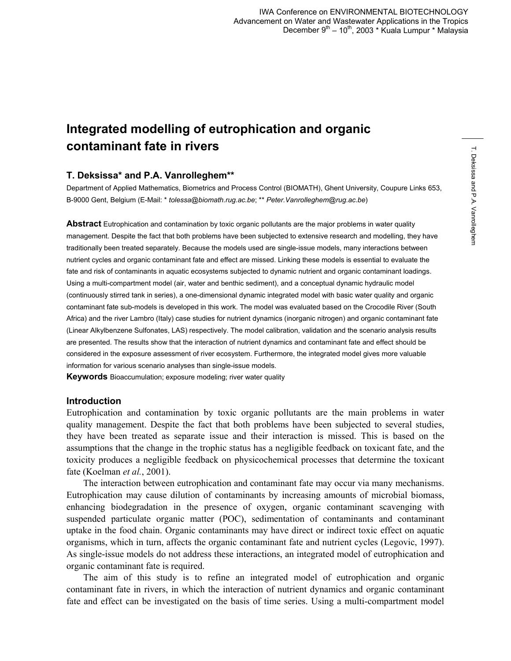# **Integrated modelling of eutrophication and organic contaminant fate in rivers**

## **T. Deksissa\* and P.A. Vanrolleghem\*\***

Department of Applied Mathematics, Biometrics and Process Control (BIOMATH), Ghent University, Coupure Links 653, B-9000 Gent, Belgium (E-Mail: \* *tolessa@biomath.rug.ac.be*; \*\* *Peter.Vanrolleghem@rug.ac.be*)

**Abstract** Eutrophication and contamination by toxic organic pollutants are the major problems in water quality management. Despite the fact that both problems have been subjected to extensive research and modelling, they have traditionally been treated separately. Because the models used are single-issue models, many interactions between nutrient cycles and organic contaminant fate and effect are missed. Linking these models is essential to evaluate the fate and risk of contaminants in aquatic ecosystems subjected to dynamic nutrient and organic contaminant loadings. Using a multi-compartment model (air, water and benthic sediment), and a conceptual dynamic hydraulic model (continuously stirred tank in series), a one-dimensional dynamic integrated model with basic water quality and organic contaminant fate sub-models is developed in this work. The model was evaluated based on the Crocodile River (South Africa) and the river Lambro (Italy) case studies for nutrient dynamics (inorganic nitrogen) and organic contaminant fate (Linear Alkylbenzene Sulfonates, LAS) respectively. The model calibration, validation and the scenario analysis results are presented. The results show that the interaction of nutrient dynamics and contaminant fate and effect should be considered in the exposure assessment of river ecosystem. Furthermore, the integrated model gives more valuable information for various scenario analyses than single-issue models.

**Keywords** Bioaccumulation; exposure modeling; river water quality

#### **Introduction**

Eutrophication and contamination by toxic organic pollutants are the main problems in water quality management. Despite the fact that both problems have been subjected to several studies, they have been treated as separate issue and their interaction is missed. This is based on the assumptions that the change in the trophic status has a negligible feedback on toxicant fate, and the toxicity produces a negligible feedback on physicochemical processes that determine the toxicant fate (Koelman *et al.*, 2001).

The interaction between eutrophication and contaminant fate may occur via many mechanisms. Eutrophication may cause dilution of contaminants by increasing amounts of microbial biomass, enhancing biodegradation in the presence of oxygen, organic contaminant scavenging with suspended particulate organic matter (POC), sedimentation of contaminants and contaminant uptake in the food chain. Organic contaminants may have direct or indirect toxic effect on aquatic organisms, which in turn, affects the organic contaminant fate and nutrient cycles (Legovic, 1997). As single-issue models do not address these interactions, an integrated model of eutrophication and organic contaminant fate is required.

The aim of this study is to refine an integrated model of eutrophication and organic contaminant fate in rivers, in which the interaction of nutrient dynamics and organic contaminant fate and effect can be investigated on the basis of time series. Using a multi-compartment model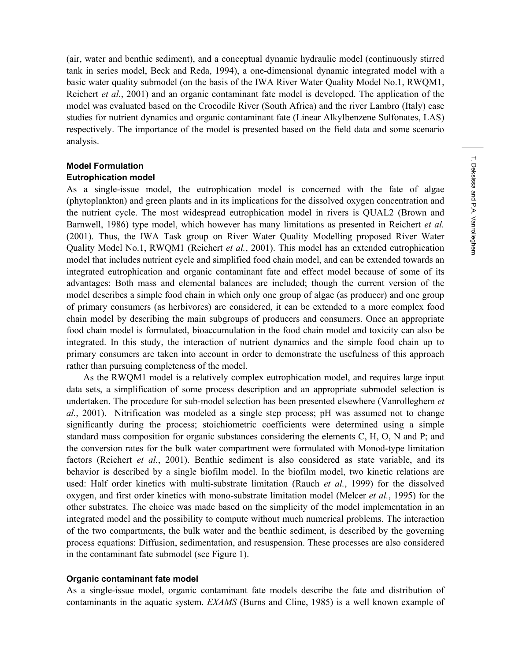(air, water and benthic sediment), and a conceptual dynamic hydraulic model (continuously stirred tank in series model, Beck and Reda, 1994), a one-dimensional dynamic integrated model with a basic water quality submodel (on the basis of the IWA River Water Quality Model No.1, RWQM1, Reichert *et al.*, 2001) and an organic contaminant fate model is developed. The application of the model was evaluated based on the Crocodile River (South Africa) and the river Lambro (Italy) case studies for nutrient dynamics and organic contaminant fate (Linear Alkylbenzene Sulfonates, LAS) respectively. The importance of the model is presented based on the field data and some scenario analysis.

# **Model Formulation**

#### **Eutrophication model**

As a single-issue model, the eutrophication model is concerned with the fate of algae (phytoplankton) and green plants and in its implications for the dissolved oxygen concentration and the nutrient cycle. The most widespread eutrophication model in rivers is QUAL2 (Brown and Barnwell, 1986) type model, which however has many limitations as presented in Reichert *et al.* (2001). Thus, the IWA Task group on River Water Quality Modelling proposed River Water Quality Model No.1, RWQM1 (Reichert *et al.*, 2001). This model has an extended eutrophication model that includes nutrient cycle and simplified food chain model, and can be extended towards an integrated eutrophication and organic contaminant fate and effect model because of some of its advantages: Both mass and elemental balances are included; though the current version of the model describes a simple food chain in which only one group of algae (as producer) and one group of primary consumers (as herbivores) are considered, it can be extended to a more complex food chain model by describing the main subgroups of producers and consumers. Once an appropriate food chain model is formulated, bioaccumulation in the food chain model and toxicity can also be integrated. In this study, the interaction of nutrient dynamics and the simple food chain up to primary consumers are taken into account in order to demonstrate the usefulness of this approach rather than pursuing completeness of the model.

As the RWQM1 model is a relatively complex eutrophication model, and requires large input data sets, a simplification of some process description and an appropriate submodel selection is undertaken. The procedure for sub-model selection has been presented elsewhere (Vanrolleghem *et al.*, 2001). Nitrification was modeled as a single step process; pH was assumed not to change significantly during the process; stoichiometric coefficients were determined using a simple standard mass composition for organic substances considering the elements C, H, O, N and P; and the conversion rates for the bulk water compartment were formulated with Monod-type limitation factors (Reichert *et al.*, 2001). Benthic sediment is also considered as state variable, and its behavior is described by a single biofilm model. In the biofilm model, two kinetic relations are used: Half order kinetics with multi-substrate limitation (Rauch *et al.*, 1999) for the dissolved oxygen, and first order kinetics with mono-substrate limitation model (Melcer *et al.*, 1995) for the other substrates. The choice was made based on the simplicity of the model implementation in an integrated model and the possibility to compute without much numerical problems. The interaction of the two compartments, the bulk water and the benthic sediment, is described by the governing process equations: Diffusion, sedimentation, and resuspension. These processes are also considered in the contaminant fate submodel (see Figure 1).

#### **Organic contaminant fate model**

As a single-issue model, organic contaminant fate models describe the fate and distribution of contaminants in the aquatic system. *EXAMS* (Burns and Cline, 1985) is a well known example of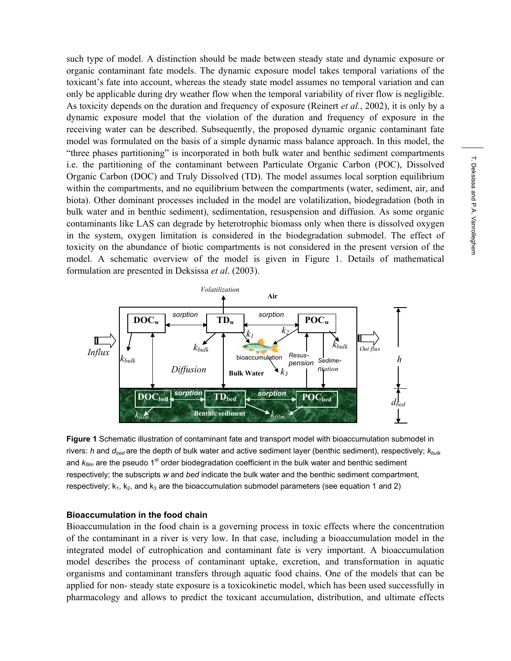such type of model. A distinction should be made between steady state and dynamic exposure or organic contaminant fate models. The dynamic exposure model takes temporal variations of the toxicant's fate into account, whereas the steady state model assumes no temporal variation and can only be applicable during dry weather flow when the temporal variability of river flow is negligible. As toxicity depends on the duration and frequency of exposure (Reinert *et al.*, 2002), it is only by a dynamic exposure model that the violation of the duration and frequency of exposure in the receiving water can be described. Subsequently, the proposed dynamic organic contaminant fate model was formulated on the basis of a simple dynamic mass balance approach. In this model, the "three phases partitioning" is incorporated in both bulk water and benthic sediment compartments i.e. the partitioning of the contaminant between Particulate Organic Carbon (POC), Dissolved Organic Carbon (DOC) and Truly Dissolved (TD). The model assumes local sorption equilibrium within the compartments, and no equilibrium between the compartments (water, sediment, air, and biota). Other dominant processes included in the model are volatilization, biodegradation (both in bulk water and in benthic sediment), sedimentation, resuspension and diffusion. As some organic contaminants like LAS can degrade by heterotrophic biomass only when there is dissolved oxygen in the system, oxygen limitation is considered in the biodegradation submodel. The effect of toxicity on the abundance of biotic compartments is not considered in the present version of the model. A schematic overview of the model is given in Figure 1. Details of mathematical formulation are presented in Deksissa *et al*. (2003).



**Figure 1** Schematic illustration of contaminant fate and transport model with bioaccumulation submodel in rivers: *h* and *dbed* are the depth of bulk water and active sediment layer (benthic sediment), respectively; *kbulk* and  $k_{film}$  are the pseudo 1<sup>st</sup> order biodegradation coefficient in the bulk water and benthic sediment respectively; the subscripts *w* and *bed* indicate the bulk water and the benthic sediment compartment, respectively;  $k_1$ ,  $k_2$ , and  $k_3$  are the bioaccumulation submodel parameters (see equation 1 and 2)

#### **Bioaccumulation in the food chain**

Bioaccumulation in the food chain is a governing process in toxic effects where the concentration of the contaminant in a river is very low. In that case, including a bioaccumulation model in the integrated model of eutrophication and contaminant fate is very important. A bioaccumulation model describes the process of contaminant uptake, excretion, and transformation in aquatic organisms and contaminant transfers through aquatic food chains. One of the models that can be applied for non- steady state exposure is a toxicokinetic model, which has been used successfully in pharmacology and allows to predict the toxicant accumulation, distribution, and ultimate effects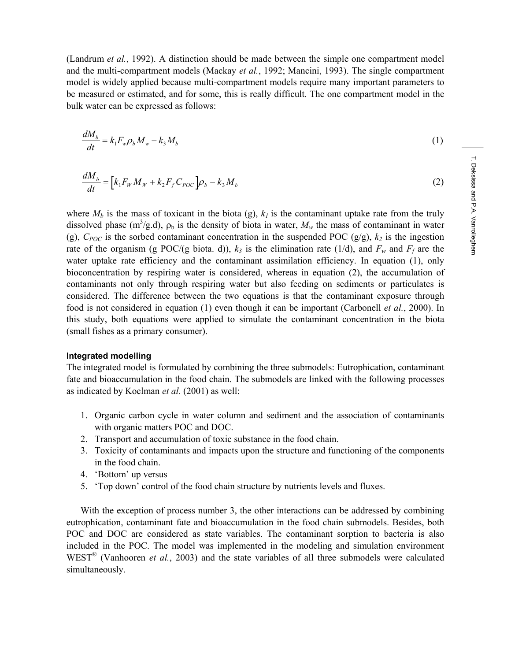(Landrum *et al.*, 1992). A distinction should be made between the simple one compartment model and the multi-compartment models (Mackay *et al.*, 1992; Mancini, 1993). The single compartment model is widely applied because multi-compartment models require many important parameters to be measured or estimated, and for some, this is really difficult. The one compartment model in the bulk water can be expressed as follows:

$$
\frac{dM_b}{dt} = k_1 F_w \rho_b M_w - k_3 M_b \tag{1}
$$

$$
\frac{dM_b}{dt} = \left[k_1 F_w M_w + k_2 F_f C_{pOC}\right] \rho_b - k_3 M_b \tag{2}
$$

where  $M_b$  is the mass of toxicant in the biota (g),  $k_l$  is the contaminant uptake rate from the truly dissolved phase (m<sup>3</sup>/g.d),  $\rho_b$  is the density of biota in water,  $M_w$  the mass of contaminant in water (g),  $C_{POC}$  is the sorbed contaminant concentration in the suspended POC (g/g),  $k_2$  is the ingestion rate of the organism (g POC/(g biota. d)),  $k_3$  is the elimination rate (1/d), and  $F_w$  and  $F_f$  are the water uptake rate efficiency and the contaminant assimilation efficiency. In equation (1), only bioconcentration by respiring water is considered, whereas in equation (2), the accumulation of contaminants not only through respiring water but also feeding on sediments or particulates is considered. The difference between the two equations is that the contaminant exposure through food is not considered in equation (1) even though it can be important (Carbonell *et al.*, 2000). In this study, both equations were applied to simulate the contaminant concentration in the biota (small fishes as a primary consumer).

#### **Integrated modelling**

The integrated model is formulated by combining the three submodels: Eutrophication, contaminant fate and bioaccumulation in the food chain. The submodels are linked with the following processes as indicated by Koelman *et al.* (2001) as well:

- 1. Organic carbon cycle in water column and sediment and the association of contaminants with organic matters POC and DOC.
- 2. Transport and accumulation of toxic substance in the food chain.
- 3. Toxicity of contaminants and impacts upon the structure and functioning of the components in the food chain.
- 4. 'Bottom' up versus
- 5. 'Top down' control of the food chain structure by nutrients levels and fluxes.

With the exception of process number 3, the other interactions can be addressed by combining eutrophication, contaminant fate and bioaccumulation in the food chain submodels. Besides, both POC and DOC are considered as state variables. The contaminant sorption to bacteria is also included in the POC. The model was implemented in the modeling and simulation environment WEST<sup>®</sup> (Vanhooren *et al.*, 2003) and the state variables of all three submodels were calculated simultaneously.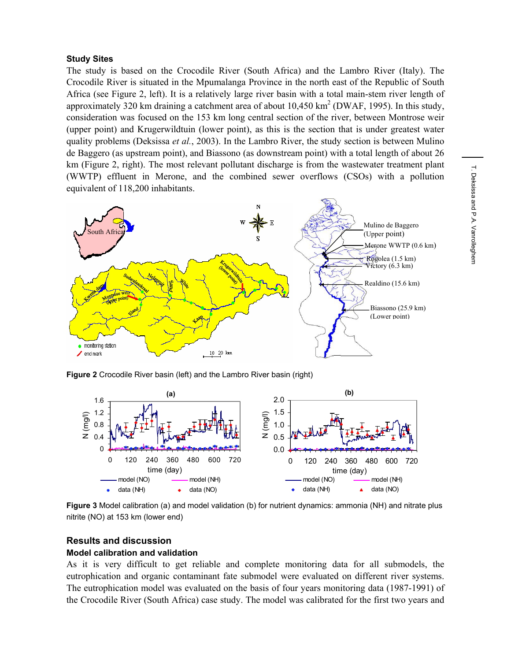## **Study Sites**

The study is based on the Crocodile River (South Africa) and the Lambro River (Italy). The Crocodile River is situated in the Mpumalanga Province in the north east of the Republic of South Africa (see Figure 2, left). It is a relatively large river basin with a total main-stem river length of approximately 320 km draining a catchment area of about  $10,450 \text{ km}^2$  (DWAF, 1995). In this study, consideration was focused on the 153 km long central section of the river, between Montrose weir (upper point) and Krugerwildtuin (lower point), as this is the section that is under greatest water quality problems (Deksissa *et al.*, 2003). In the Lambro River, the study section is between Mulino de Baggero (as upstream point), and Biassono (as downstream point) with a total length of about 26 km (Figure 2, right). The most relevant pollutant discharge is from the wastewater treatment plant (WWTP) effluent in Merone, and the combined sewer overflows (CSOs) with a pollution equivalent of 118,200 inhabitants.



**Figure 2** Crocodile River basin (left) and the Lambro River basin (right)



**Figure 3** Model calibration (a) and model validation (b) for nutrient dynamics: ammonia (NH) and nitrate plus nitrite (NO) at 153 km (lower end)

# **Results and discussion**

# **Model calibration and validation**

As it is very difficult to get reliable and complete monitoring data for all submodels, the eutrophication and organic contaminant fate submodel were evaluated on different river systems. The eutrophication model was evaluated on the basis of four years monitoring data (1987-1991) of the Crocodile River (South Africa) case study. The model was calibrated for the first two years and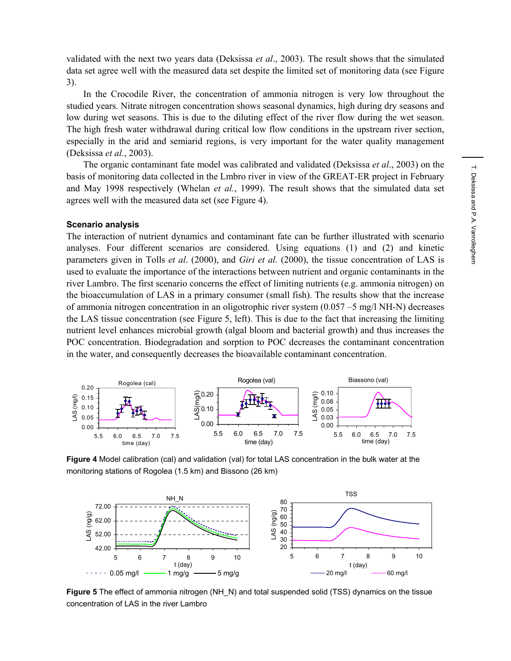validated with the next two years data (Deksissa *et al*., 2003). The result shows that the simulated data set agree well with the measured data set despite the limited set of monitoring data (see Figure 3).

In the Crocodile River, the concentration of ammonia nitrogen is very low throughout the studied years. Nitrate nitrogen concentration shows seasonal dynamics, high during dry seasons and low during wet seasons. This is due to the diluting effect of the river flow during the wet season. The high fresh water withdrawal during critical low flow conditions in the upstream river section, especially in the arid and semiarid regions, is very important for the water quality management (Deksissa *et al.*, 2003).

The organic contaminant fate model was calibrated and validated (Deksissa *et al*., 2003) on the basis of monitoring data collected in the Lmbro river in view of the GREAT-ER project in February and May 1998 respectively (Whelan *et al.*, 1999). The result shows that the simulated data set agrees well with the measured data set (see Figure 4).

## **Scenario analysis**

The interaction of nutrient dynamics and contaminant fate can be further illustrated with scenario analyses. Four different scenarios are considered. Using equations (1) and (2) and kinetic parameters given in Tolls *et al*. (2000), and *Giri et al.* (2000), the tissue concentration of LAS is used to evaluate the importance of the interactions between nutrient and organic contaminants in the river Lambro. The first scenario concerns the effect of limiting nutrients (e.g. ammonia nitrogen) on the bioaccumulation of LAS in a primary consumer (small fish). The results show that the increase of ammonia nitrogen concentration in an oligotrophic river system (0.057 –5 mg/l NH-N) decreases the LAS tissue concentration (see Figure 5, left). This is due to the fact that increasing the limiting nutrient level enhances microbial growth (algal bloom and bacterial growth) and thus increases the POC concentration. Biodegradation and sorption to POC decreases the contaminant concentration in the water, and consequently decreases the bioavailable contaminant concentration.



**Figure 4** Model calibration (cal) and validation (val) for total LAS concentration in the bulk water at the monitoring stations of Rogolea (1.5 km) and Bissono (26 km)



**Figure 5** The effect of ammonia nitrogen (NH\_N) and total suspended solid (TSS) dynamics on the tissue concentration of LAS in the river Lambro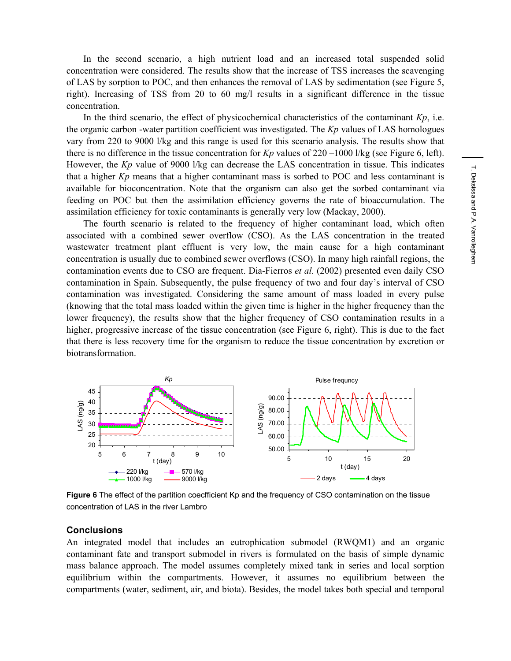In the second scenario, a high nutrient load and an increased total suspended solid concentration were considered. The results show that the increase of TSS increases the scavenging of LAS by sorption to POC, and then enhances the removal of LAS by sedimentation (see Figure 5, right). Increasing of TSS from 20 to 60 mg/l results in a significant difference in the tissue concentration.

In the third scenario, the effect of physicochemical characteristics of the contaminant *Kp*, i.e. the organic carbon -water partition coefficient was investigated. The *Kp* values of LAS homologues vary from 220 to 9000 l/kg and this range is used for this scenario analysis. The results show that there is no difference in the tissue concentration for *Kp* values of 220 –1000 l/kg (see Figure 6, left). However, the *Kp* value of 9000 l/kg can decrease the LAS concentration in tissue. This indicates that a higher *Kp* means that a higher contaminant mass is sorbed to POC and less contaminant is available for bioconcentration. Note that the organism can also get the sorbed contaminant via feeding on POC but then the assimilation efficiency governs the rate of bioaccumulation. The assimilation efficiency for toxic contaminants is generally very low (Mackay, 2000).

The fourth scenario is related to the frequency of higher contaminant load, which often associated with a combined sewer overflow (CSO). As the LAS concentration in the treated wastewater treatment plant effluent is very low, the main cause for a high contaminant concentration is usually due to combined sewer overflows (CSO). In many high rainfall regions, the contamination events due to CSO are frequent. Dia-Fierros *et al.* (2002) presented even daily CSO contamination in Spain. Subsequently, the pulse frequency of two and four day's interval of CSO contamination was investigated. Considering the same amount of mass loaded in every pulse (knowing that the total mass loaded within the given time is higher in the higher frequency than the lower frequency), the results show that the higher frequency of CSO contamination results in a higher, progressive increase of the tissue concentration (see Figure 6, right). This is due to the fact that there is less recovery time for the organism to reduce the tissue concentration by excretion or biotransformation.



**Figure 6** The effect of the partition coecfficient Kp and the frequency of CSO contamination on the tissue concentration of LAS in the river Lambro

## **Conclusions**

An integrated model that includes an eutrophication submodel (RWQM1) and an organic contaminant fate and transport submodel in rivers is formulated on the basis of simple dynamic mass balance approach. The model assumes completely mixed tank in series and local sorption equilibrium within the compartments. However, it assumes no equilibrium between the compartments (water, sediment, air, and biota). Besides, the model takes both special and temporal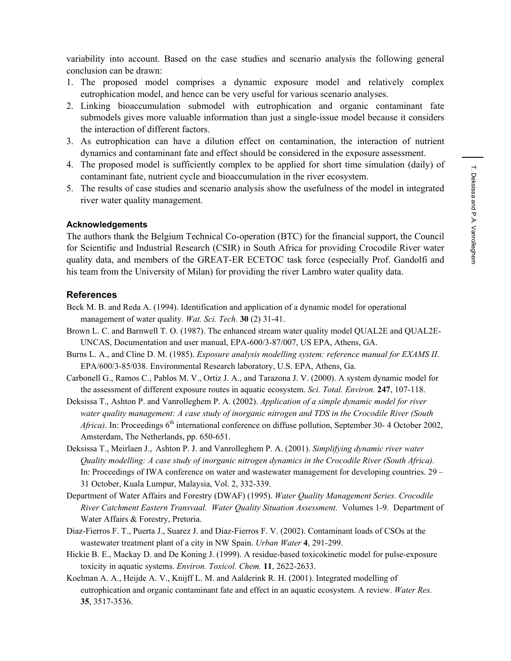variability into account. Based on the case studies and scenario analysis the following general conclusion can be drawn:

- 1. The proposed model comprises a dynamic exposure model and relatively complex eutrophication model, and hence can be very useful for various scenario analyses.
- 2. Linking bioaccumulation submodel with eutrophication and organic contaminant fate submodels gives more valuable information than just a single-issue model because it considers the interaction of different factors.
- 3. As eutrophication can have a dilution effect on contamination, the interaction of nutrient dynamics and contaminant fate and effect should be considered in the exposure assessment.
- 4. The proposed model is sufficiently complex to be applied for short time simulation (daily) of contaminant fate, nutrient cycle and bioaccumulation in the river ecosystem.
- 5. The results of case studies and scenario analysis show the usefulness of the model in integrated river water quality management.

## **Acknowledgements**

The authors thank the Belgium Technical Co-operation (BTC) for the financial support, the Council for Scientific and Industrial Research (CSIR) in South Africa for providing Crocodile River water quality data, and members of the GREAT-ER ECETOC task force (especially Prof. Gandolfi and his team from the University of Milan) for providing the river Lambro water quality data.

## **References**

- Beck M. B. and Reda A. (1994). Identification and application of a dynamic model for operational management of water quality. *Wat. Sci. Tech*. **30** (2) 31-41.
- Brown L. C. and Barnwell T. O. (1987). The enhanced stream water quality model QUAL2E and QUAL2E-UNCAS, Documentation and user manual, EPA-600/3-87/007, US EPA, Athens, GA.
- Burns L. A., and Cline D. M. (1985). *Exposure analysis modelling system: reference manual for EXAMS II*. EPA/600/3-85/038. Environmental Research laboratory, U.S. EPA, Athens, Ga.
- Carbonell G., Ramos C., Pablos M. V., Ortiz J. A., and Tarazona J. V. (2000). A system dynamic model for the assessment of different exposure routes in aquatic ecosystem. *Sci. Total. Environ.* **247**, 107-118.
- Deksissa T., Ashton P. and Vanrolleghem P. A. (2002). *Application of a simple dynamic model for river water quality management: A case study of inorganic nitrogen and TDS in the Crocodile River (South Africa*). In: Proceedings 6<sup>th</sup> international conference on diffuse pollution, September 30- 4 October 2002, Amsterdam, The Netherlands, pp. 650-651.
- Deksissa T., Meirlaen J., Ashton P. J. and Vanrolleghem P. A. (2001). *Simplifying dynamic river water Quality modelling: A case study of inorganic nitrogen dynamics in the Crocodile River (South Africa).* In: Proceedings of IWA conference on water and wastewater management for developing countries. 29 – 31 October, Kuala Lumpur, Malaysia, Vol. 2, 332-339.
- Department of Water Affairs and Forestry (DWAF) (1995). *Water Quality Management Series. Crocodile River Catchment Eastern Transvaal. Water Quality Situation Assessment*. Volumes 1-9. Department of Water Affairs & Forestry, Pretoria.
- Diaz-Fierros F. T., Puerta J., Suarez J. and Diaz-Fierros F. V. (2002). Contaminant loads of CSOs at the wastewater treatment plant of a city in NW Spain. *Urban Water* **4**, 291-299.
- Hickie B. E., Mackay D. and De Koning J. (1999). A residue-based toxicokinetic model for pulse-exposure toxicity in aquatic systems. *Environ. Toxicol. Chem.* **11**, 2622-2633.
- Koelman A. A., Heijde A. V., Knijff L. M. and Aalderink R. H. (2001). Integrated modelling of eutrophication and organic contaminant fate and effect in an aquatic ecosystem. A review. *Water Res.*  **35**, 3517-3536.